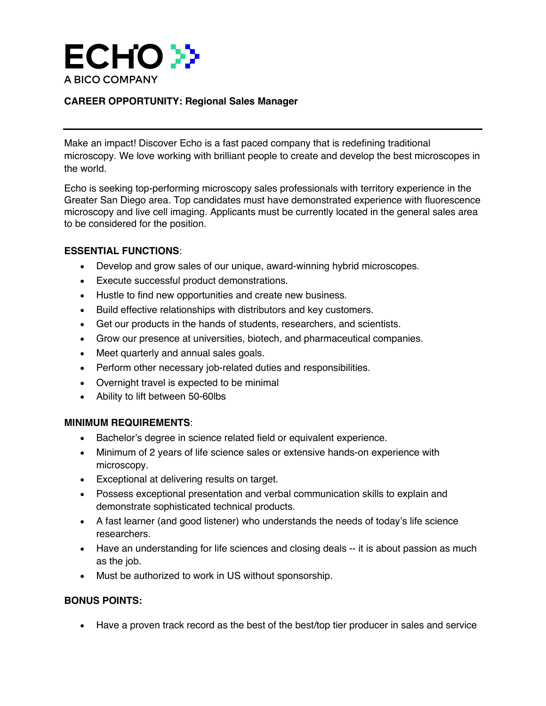

# **CAREER OPPORTUNITY: Regional Sales Manager**

Make an impact! Discover Echo is a fast paced company that is redefining traditional microscopy. We love working with brilliant people to create and develop the best microscopes in the world.

Echo is seeking top-performing microscopy sales professionals with territory experience in the Greater San Diego area. Top candidates must have demonstrated experience with fluorescence microscopy and live cell imaging. Applicants must be currently located in the general sales area to be considered for the position.

### **ESSENTIAL FUNCTIONS**:

- Develop and grow sales of our unique, award-winning hybrid microscopes.
- Execute successful product demonstrations.
- Hustle to find new opportunities and create new business.
- Build effective relationships with distributors and key customers.
- Get our products in the hands of students, researchers, and scientists.
- Grow our presence at universities, biotech, and pharmaceutical companies.
- Meet quarterly and annual sales goals.
- Perform other necessary job-related duties and responsibilities.
- Overnight travel is expected to be minimal
- Ability to lift between 50-60lbs

#### **MINIMUM REQUIREMENTS**:

- Bachelor's degree in science related field or equivalent experience.
- Minimum of 2 years of life science sales or extensive hands-on experience with microscopy.
- Exceptional at delivering results on target.
- Possess exceptional presentation and verbal communication skills to explain and demonstrate sophisticated technical products.
- A fast learner (and good listener) who understands the needs of today's life science researchers.
- Have an understanding for life sciences and closing deals -- it is about passion as much as the job.
- Must be authorized to work in US without sponsorship.

## **BONUS POINTS:**

• Have a proven track record as the best of the best/top tier producer in sales and service